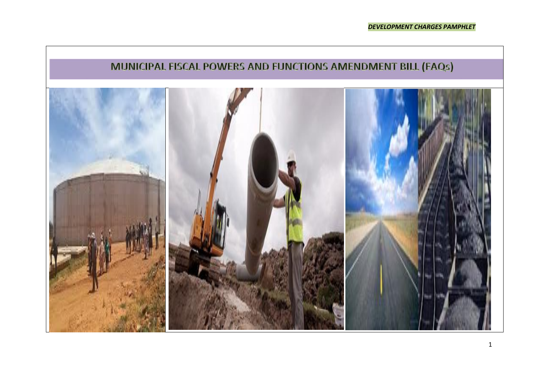# MUNICIPAL FISCAL POWERS AND FUNCTIONS AMENDMENT BILL (FAQs)

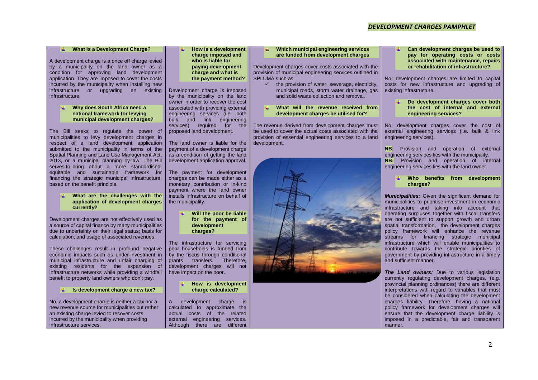# *DEVELOPMENT CHARGES PAMPHLET*

## **What is a Development Charge?**

A development charge is a once off charge levied by a municipality on the land owner as a condition for approving land development application. They are imposed to cover the costs incurred by the municipality when installing new infrastructure or upgrading an existing infrastructure.

## **Why does South Africa need a national framework for levying municipal development charges?**

The Bill seeks to regulate the power of municipalities to levy development charges in respect of a land development application submitted to the municipality in terms of the Spatial Planning and Land Use Management Act, 2013, or a municipal planning by-law. The Bill serves to bring about a more standardised. equitable and sustainable framework for financing the strategic municipal infrastructure, based on the benefit principle.

#### **What are the challenges with the application of development charges currently?**

Development charges are not effectively used as a source of capital finance by many municipalities due to uncertainty on their legal status; basis for calculation; and usage of associated revenues.

These challenges result in profound negative economic impacts such as under-investment in municipal infrastructure and unfair charging of existing residents for the expansion of infrastructure networks while providing a windfall benefit to property land owners who don't pay.

## **Is development charge a new tax?**

No, a development charge is neither a tax nor a new revenue source for municipalities but rather an existing charge levied to recover costs incurred by the municipality when providing infrastructure services.

## **How is a development charge imposed and who is liable for paying development charge and what is the payment method?**

Development charge is imposed by the municipality on the land owner in order to recover the cost associated with providing external engineering services (i.e. both bulk and link engineering services) required for the proposed land development.

The land owner is liable for the payment of a development charge as a condition of getting the land development application approval.

The payment for development charges can be made either as a monetary contribution or in-kind payment where the land owner installs infrastructure on behalf of the municipality.

> **Will the poor be liable for the payment of development charges?**

The infrastructure for servicing poor households is funded from by the fiscus through conditional grants transfers. Therefore, development charges will not have impact on the poor.

> **How is development charge calculated?**

A development charge is calculated to approximate the actual costs of the related external engineering services. Although there are different

## **Which municipal engineering services are funded from development charges**

Development charges cover costs associated with the provision of municipal engineering services outlined in SPLUMA such as:

- the provision of water, sewerage, electricity, municipal roads, storm water drainage, gas and solid waste collection and removal.
- **What will the revenue received from development charges be utilised for?**

The revenue derived from development charges must be used to cover the actual costs associated with the provision of essential engineering services to a land development.



**Can development charges be used to pay for operating costs or costs associated with maintenance, repairs or rehabilitation of infrastructure?**

No, development charges are limited to capital costs for new infrastructure and upgrading of existing infrastructure.

> **Do development charges cover both the cost of internal and external engineering services?**

No, development charges cover the cost of external engineering services (i.e. bulk & link engineering services).

**NB**: Provision and operation of external engineering services lies with the municipality. **NB:** Provision and operation of internal engineering services lies with the land owner.

## **Who benefits from development charges?**

*Municipalities:* Given the significant demand for municipalities to prioritise investment in economic infrastructure and taking into account that operating surpluses together with fiscal transfers are not sufficient to support growth and urban spatial transformation. the development charges policy framework will enhance the revenue streams for financing strategic municipal infrastructure which will enable municipalities to contribute towards the strategic priorities of government by providing infrastructure in a timely and sufficient manner.

*The Land owners:* Due to various legislation currently regulating development charges, (e.g. provincial planning ordinances) there are different interpretations with regard to variables that must be considered when calculating the development charges liability. Therefore, having a national policy framework for development charges will ensure that the development charge liability is imposed in a predictable, fair and transparent manner.